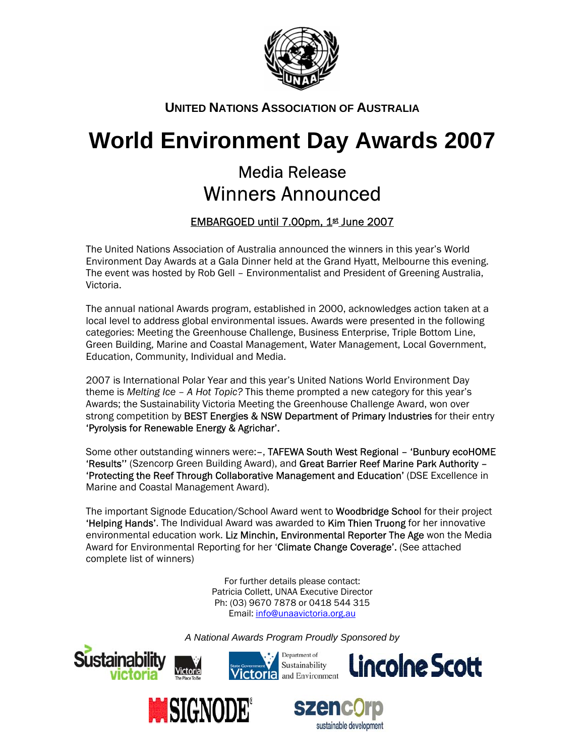

## **UNITED NATIONS ASSOCIATION OF AUSTRALIA**

# **World Environment Day Awards 2007**

## Media Release Winners Announced

### EMBARGOED until 7.00pm, 1st June 2007

 The United Nations Association of Australia announced the winners in this year's World Environment Day Awards at a Gala Dinner held at the Grand Hyatt, Melbourne this evening. The event was hosted by Rob Gell – Environmentalist and President of Greening Australia, Victoria.

The annual national Awards program, established in 2000, acknowledges action taken at a local level to address global environmental issues. Awards were presented in the following categories: Meeting the Greenhouse Challenge, Business Enterprise, Triple Bottom Line, Green Building, Marine and Coastal Management, Water Management, Local Government, Education, Community, Individual and Media.

2007 is International Polar Year and this year's United Nations World Environment Day theme is *Melting Ice – A Hot Topic?* This theme prompted a new category for this year's Awards; the Sustainability Victoria Meeting the Greenhouse Challenge Award, won over strong competition by BEST Energies & NSW Department of Primary Industries for their entry 'Pyrolysis for Renewable Energy & Agrichar'.

Some other outstanding winners were:-, TAFEWA South West Regional - 'Bunbury ecoHOME 'Results'' (Szencorp Green Building Award), and Great Barrier Reef Marine Park Authority – 'Protecting the Reef Through Collaborative Management and Education' (DSE Excellence in Marine and Coastal Management Award).

The important Signode Education/School Award went to **Woodbridge School** for their project 'Helping Hands'. The Individual Award was awarded to Kim Thien Truong for her innovative environmental education work. Liz Minchin, Environmental Reporter The Age won the Media Award for Environmental Reporting for her 'Climate Change Coverage'. (See attached complete list of winners)

> For further details please contact: Patricia Collett, UNAA Executive Director Ph: (03) 9670 7878 or 0418 544 315 Email: [info@unaavictoria.org.au](mailto:info@unaavictoria.org.au)

*A National Awards Program Proudly Sponsored by*